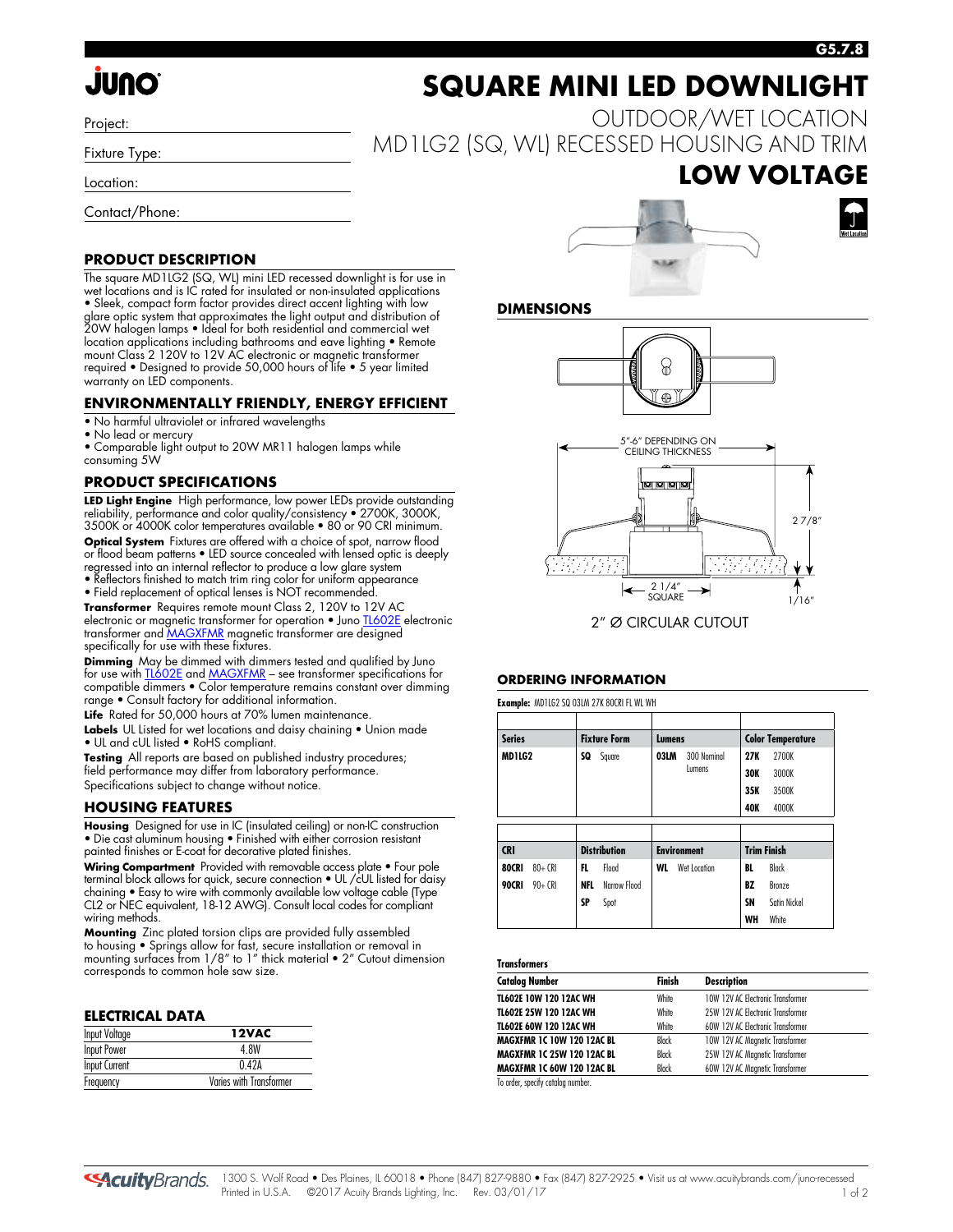# **JUNO**

Project:

Fixture Type:

Location:

Contact/Phone:

#### **PRODUCT DESCRIPTION**

The square MD1LG2 (SQ, WL) mini LED recessed downlight is for use in wet locations and is IC rated for insulated or non-insulated applications • Sleek, compact form factor provides direct accent lighting with low glare optic system that approximates the light output and distribution of 20W halogen lamps • Ideal for both residential and commercial wet location applications including bathrooms and eave lighting • Remote mount Class 2 120V to 12V AC electronic or magnetic transformer required • Designed to provide 50,000 hours of life • 5 year limited warranty on LED components.

#### **ENVIRONMENTALLY FRIENDLY, ENERGY EFFICIENT**

• No harmful ultraviolet or infrared wavelengths

• No lead or mercury

• Comparable light output to 20W MR11 halogen lamps while consuming 5W

#### **PRODUCT SPECIFICATIONS**

**LED Light Engine**High performance, low power LEDs provide outstanding reliability, performance and color quality/consistency • 2700K, 3000K, 3500K or 4000K color temperatures available • 80 or 90 CRI minimum. **Optical System** Fixtures are offered with a choice of spot, narrow flood or flood beam patterns • LED source concealed with lensed optic is deeply regressed into an internal reflector to produce a low glare system

• Reflectors finished to match trim ring color for uniform appearance • Field replacement of optical lenses is NOT recommended.

**Transformer** Requires remote mount Class 2, 120V to 12V AC electronic or magnetic transformer for operation • Jun[o TL602E e](http://www.acuitybrands.com/shell/-/media/Files/Acuity/Other/D3_1_9.pdf)lectronic transformer an[d MAGXFMR](http://www.acuitybrands.com/shell/-/media/Files/Acuity/Other/D3_1_10.pdf) magnetic transformer are designed specifically for use with these fixtures.

**Dimming** May be dimmed with dimmers tested and qualified by Juno for use with <u>TL602E</u> and <u>MAGXFMR</u> – see transformer specifications for compatible dimmers • Color temperature remains constant over dimming range • Consult factory for additional information.

**Life** Rated for 50,000 hours at 70% lumen maintenance.

**Labels** UL Listed for wet locations and daisy chaining • Union made • UL and cUL listed • RoHS compliant.

**Testing** All reports are based on published industry procedures; field performance may differ from laboratory performance. Specifications subject to change without notice.

#### **HOUSING FEATURES**

**Housing**Designed for use in IC (insulated ceiling) or non-IC construction • Die cast aluminum housing • Finished with either corrosion resistant painted finishes or E-coat for decorative plated finishes.

**Wiring Compartment**Provided with removable access plate • Four pole terminal block allows for quick, secure connection • UL /cUL listed for daisy chaining • Easy to wire with commonly available low voltage cable (Type CL2 or NEC equivalent, 18-12 AWG). Consult local codes for compliant wiring methods.

**Mounting** Zinc plated torsion clips are provided fully assembled to housing • Springs allow for fast, secure installation or removal in mounting surfaces from 1/8" to 1" thick material • 2" Cutout dimension corresponds to common hole saw size.

#### **ELECTRICAL DATA**

| <b>Input Voltage</b> | 12VAC                   |
|----------------------|-------------------------|
| <b>Input Power</b>   | 4 8W                    |
| <b>Input Current</b> | 0.42A                   |
| Frequency            | Varies with Transformer |

# **SQUARE MINI LED DOWNLIGHT**

OUTDOOR/WET LOCATION MD1LG2 (SQ, WL) RECESSED HOUSING AND TRIM

### **LOW VOLTAGE**





#### **DIMENSIONS**





#### **ORDERING INFORMATION**

|               |           |            | <b>Example: MD1LG2 SQ 03LM 27K 80CRI FL WL WH</b> |        |                    |     |                          |
|---------------|-----------|------------|---------------------------------------------------|--------|--------------------|-----|--------------------------|
| <b>Series</b> |           |            | <b>Fixture Form</b>                               |        |                    |     |                          |
|               |           |            |                                                   | Lumens |                    |     | <b>Color Temperature</b> |
| MD1LG2        |           | SQ         | Square                                            | 03LM   | 300 Nominal        | 27K | 2700K                    |
|               |           |            |                                                   |        | Lumens             |     | 3000K                    |
|               |           |            |                                                   |        |                    | 35K | 3500K                    |
|               |           |            |                                                   |        |                    | 40K | 4000K                    |
|               |           |            |                                                   |        |                    |     |                          |
|               |           |            |                                                   |        |                    |     |                          |
| <b>CRI</b>    |           |            | <b>Distribution</b>                               |        | <b>Environment</b> |     | <b>Trim Finish</b>       |
| 80CRI         | $80 + CR$ | FL.        | Flood                                             | WL     | Wet Location       | BL  | Black                    |
| <b>90CRI</b>  | $90 + CR$ | <b>NFL</b> | Narrow Flood                                      |        |                    | BZ  | Bronze                   |
|               |           | SP         | Spot                                              |        |                    | SN  | Satin Nickel             |
|               |           |            |                                                   |        |                    | WH  | White                    |

#### **Transformers**

| <b>Catalog Number</b>             | Finish       | <b>Description</b>                |  |
|-----------------------------------|--------------|-----------------------------------|--|
| TL602E 10W 120 12AC WH            | White        | 10W 12V AC Electronic Transformer |  |
| TL602E 25W 120 12AC WH            | White        | 25W 12V AC Electronic Transformer |  |
| TL602E 60W 120 12AC WH            | <b>White</b> | 60W 12V AC Electronic Transformer |  |
| <b>MAGXFMR 1C 10W 120 12AC BL</b> | Black        | 10W 12V AC Magnetic Transformer   |  |
| <b>MAGXFMR 1C 25W 120 12AC BL</b> | Black        | 25W 12V AC Magnetic Transformer   |  |
| <b>MAGXFMR 1C 60W 120 12AC BL</b> | Black        | 60W 12V AC Magnetic Transformer   |  |

To order, specify catalog number.